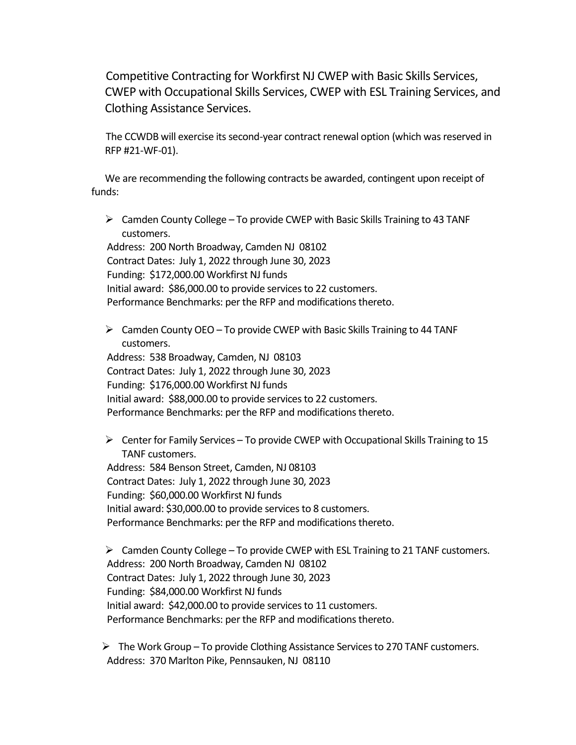Competitive Contracting for Workfirst NJ CWEP with Basic Skills Services, CWEP with Occupational Skills Services, CWEP with ESL Training Services, and Clothing Assistance Services.

The CCWDB will exercise its second-year contract renewal option (which was reserved in RFP #21-WF-01).

We are recommending the following contracts be awarded, contingent upon receipt of funds:

 $\triangleright$  Camden County College – To provide CWEP with Basic Skills Training to 43 TANF customers.

Address: 200 North Broadway, Camden NJ 08102 Contract Dates: July 1, 2022 through June 30, 2023 Funding: \$172,000.00 Workfirst NJ funds Initial award: \$86,000.00 to provide services to 22 customers. Performance Benchmarks: per the RFP and modifications thereto.

 $\triangleright$  Camden County OEO – To provide CWEP with Basic Skills Training to 44 TANF customers.

Address: 538 Broadway, Camden, NJ 08103 Contract Dates: July 1, 2022 through June 30, 2023 Funding: \$176,000.00 Workfirst NJ funds Initial award: \$88,000.00 to provide services to 22 customers. Performance Benchmarks: per the RFP and modifications thereto.

 $\triangleright$  Center for Family Services – To provide CWEP with Occupational Skills Training to 15 TANF customers.

Address: 584 Benson Street, Camden, NJ 08103 Contract Dates: July 1, 2022 through June 30, 2023 Funding: \$60,000.00 Workfirst NJ funds Initial award: \$30,000.00 to provide services to 8 customers. Performance Benchmarks: per the RFP and modifications thereto.

 $\triangleright$  Camden County College – To provide CWEP with ESL Training to 21 TANF customers. Address: 200 North Broadway, Camden NJ 08102 Contract Dates: July 1, 2022 through June 30, 2023 Funding: \$84,000.00 Workfirst NJ funds Initial award: \$42,000.00 to provide services to 11 customers. Performance Benchmarks: per the RFP and modifications thereto.

➢ The Work Group – To provide Clothing Assistance Services to 270 TANF customers. Address: 370 Marlton Pike, Pennsauken, NJ 08110